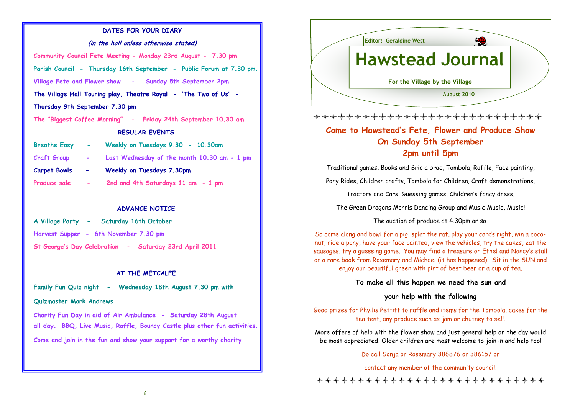## DATES FOR YOUR DIARY

#### (in the hall unless otherwise stated)

Community Council Fete Meeting - Monday 23rd August - 7.30 pm Parish Council - Thursday 16th September - Public Forum at 7.30 pm. Village Fete and Flower show - Sunday 5th September 2pm The Village Hall Touring play, Theatre Royal - 'The Two of Us' - Thursday 9th September 7.30 pm The "Biggest Coffee Morning" - Friday 24th September 10.30 am REGULAR EVENTS

| <b>Breathe Easy</b> |                | Weekly on Tuesdays 9.30 - 10.30am           |
|---------------------|----------------|---------------------------------------------|
| <b>Craft Group</b>  |                | Last Wednesday of the month 10.30 am - 1 pm |
| <b>Carpet Bowls</b> | $\blacksquare$ | Weekly on Tuesdays 7.30pm                   |
| Produce sale        |                | 2nd and 4th Saturdays 11 am - 1 pm          |

## ADVANCE NOTICE

- A Village Party Saturday 16th October Harvest Supper - 6th November 7.30 pm
- St George's Day Celebration Saturday 23rd April 2011

## AT THE METCALFE

Family Fun Quiz night - Wednesday 18th August 7.30 pm with

#### Quizmaster Mark Andrews

Charity Fun Day in aid of Air Ambulance - Saturday 28th August all day. BBQ, Live Music, Raffle, Bouncy Castle plus other fun activities. Come and join in the fun and show your support for a worthy charity.



## \*\*\*\*\*\*\*\*\*\*\*\*\*\*\*\*\*\*\*\*\*\*\*\*\*\*\*

# Come to Hawstead's Fete, Flower and Produce Show On Sunday 5th September 2pm until 5pm

Traditional games, Books and Bric a brac, Tombola, Raffle, Face painting,

Pony Rides, Children crafts, Tombola for Children, Craft demonstrations,

Tractors and Cars, Guessing games, Children's fancy dress,

The Green Dragons Morris Dancing Group and Music Music, Music!

The auction of produce at 4.30pm or so.

So come along and bowl for a pig, splat the rat, play your cards right, win a coconut, ride a pony, have your face painted, view the vehicles, try the cakes, eat the sausages, try a guessing game. You may find a treasure on Ethel and Nancy's stall or a rare book from Rosemary and Michael (it has happened). Sit in the SUN and enjoy our beautiful green with pint of best beer or a cup of tea.

## To make all this happen we need the sun and

## your help with the following

Good prizes for Phyllis Pettitt to raffle and items for the Tombola, cakes for the tea tent, any produce such as jam or chutney to sell.

More offers of help with the flower show and just general help on the day would be most appreciated. Older children are most welcome to join in and help too!

Do call Sonja or Rosemary 386876 or 386157 or

contact any member of the community council.

\*\*\*\*\*\*\*\*\*\*\*\*\*\*\*\*\*\*\*\*\*\*\*\*\*\*\*\*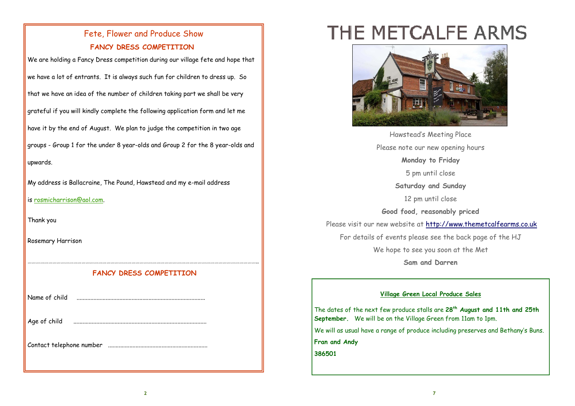# Fete, Flower and Produce Show FANCY DRESS COMPETITION

We are holding a Fancy Dress competition during our village fete and hope that we have a lot of entrants. It is always such fun for children to dress up. So that we have an idea of the number of children taking part we shall be very grateful if you will kindly complete the following application form and let me have it by the end of August. We plan to judge the competition in two age groups - Group 1 for the under 8 year-olds and Group 2 for the 8 year-olds and upwards.

My address is Ballacraine, The Pound, Hawstead and my e-mail address

is rosmicharrison@aol.com.

Thank you

Rosemary Harrison

## ………………………………………………………………………………………………………………………………………………….. FANCY DRESS COMPETITION

Name of child ....................................................................................

| Age of child |  |
|--------------|--|
|              |  |

Contact telephone number .................................................................

# THE METCALFE ARMS



Hawstead's Meeting Place Please note our new opening hours Monday to Friday 5 pm until close Saturday and Sunday 12 pm until close Good food, reasonably priced Please visit our new website at http://www.themetcalfearms.co.ukFor details of events please see the back page of the HJ We hope to see you soon at the Met Sam and Darren

## Village Green Local Produce Sales

The dates of the next few produce stalls are 28<sup>th</sup> August and 11th and 25th September. We will be on the Village Green from 11am to 1pm.

We will as usual have a range of produce including preserves and Bethany's Buns.

Fran and Andy

386501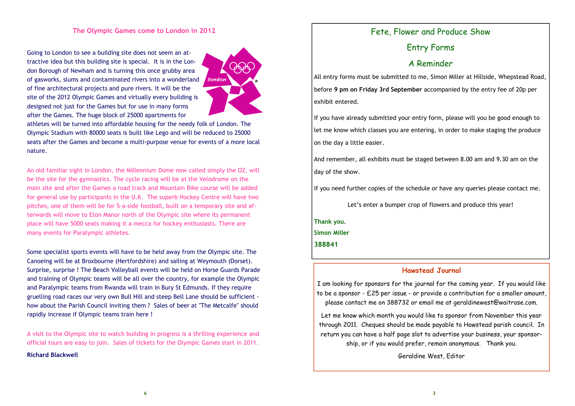Going to London to see a building site does not seem an attractive idea but this building site is special. It is in the London Borough of Newham and is turning this once grubby area of gasworks, slums and contaminated rivers into a wonderland of fine architectural projects and pure rivers. It will be the site of the 2012 Olympic Games and virtually every building is designed not just for the Games but for use in many forms after the Games. The huge block of 25000 apartments for



athletes will be turned into affordable housing for the needy folk of London. The Olympic Stadium with 80000 seats is built like Lego and will be reduced to 25000 seats after the Games and become a multi-purpose venue for events of a more local nature.

An old familiar sight in London, the Millennium Dome now called simply the O2, will be the site for the gymnastics. The cycle racing will be at the Velodrome on the main site and after the Games a road track and Mountain Bike course will be added for general use by participants in the U.K. The superb Hockey Centre will have two pitches, one of them will be for 5-a-side football, built on a temporary site and afterwards will move to Eton Manor north of the Olympic site where its permanent place will have 5000 seats making it a mecca for hockey enthusiasts. There are many events for Paralympic athletes.

Some specialist sports events will have to be held away from the Olympic site. The Canoeing will be at Broxbourne (Hertfordshire) and sailing at Weymouth (Dorset). Surprise, surprise ! The Beach Volleyball events will be held on Horse Guards Parade and training of Olympic teams will be all over the country, for example the Olympic and Paralympic teams from Rwanda will train in Bury St Edmunds. If they require gruelling road races our very own Bull Hill and steep Bell Lane should be sufficient how about the Parish Council inviting them ? Sales of beer at "The Metcalfe" should rapidly increase if Olympic teams train here !

A visit to the Olympic site to watch building in progress is a thrilling experience and official tours are easy to join. Sales of tickets for the Olympic Games start in 2011.

Richard Blackwell

# Fete, Flower and Produce Show

Entry Forms

# A Reminder

All entry forms must be submitted to me, Simon Miller at Hillside, Whepstead Road, before 9 pm on Friday 3rd September accompanied by the entry fee of 20p per exhibit entered.

If you have already submitted your entry form, please will you be good enough to let me know which classes you are entering, in order to make staging the produce on the day a little easier.

And remember, all exhibits must be staged between 8.00 am and 9.30 am on the day of the show.

If you need further copies of the schedule or have any queries please contact me.

Let's enter a bumper crop of flowers and produce this year!

Thank you.

Simon Miller

388841

## Hawstead Journal

I am looking for sponsors for the journal for the coming year. If you would like to be a sponsor - £25 per issue - or provide a contribution for a smaller amount, please contact me on 388732 or email me at geraldinewest@waitrose.com.

Let me know which month you would like to sponsor from November this year through 2011. Cheques should be made payable to Hawstead parish council. In return you can have a half page slot to advertise your business, your sponsorship, or if you would prefer, remain anonymous. Thank you.

Geraldine West, Editor